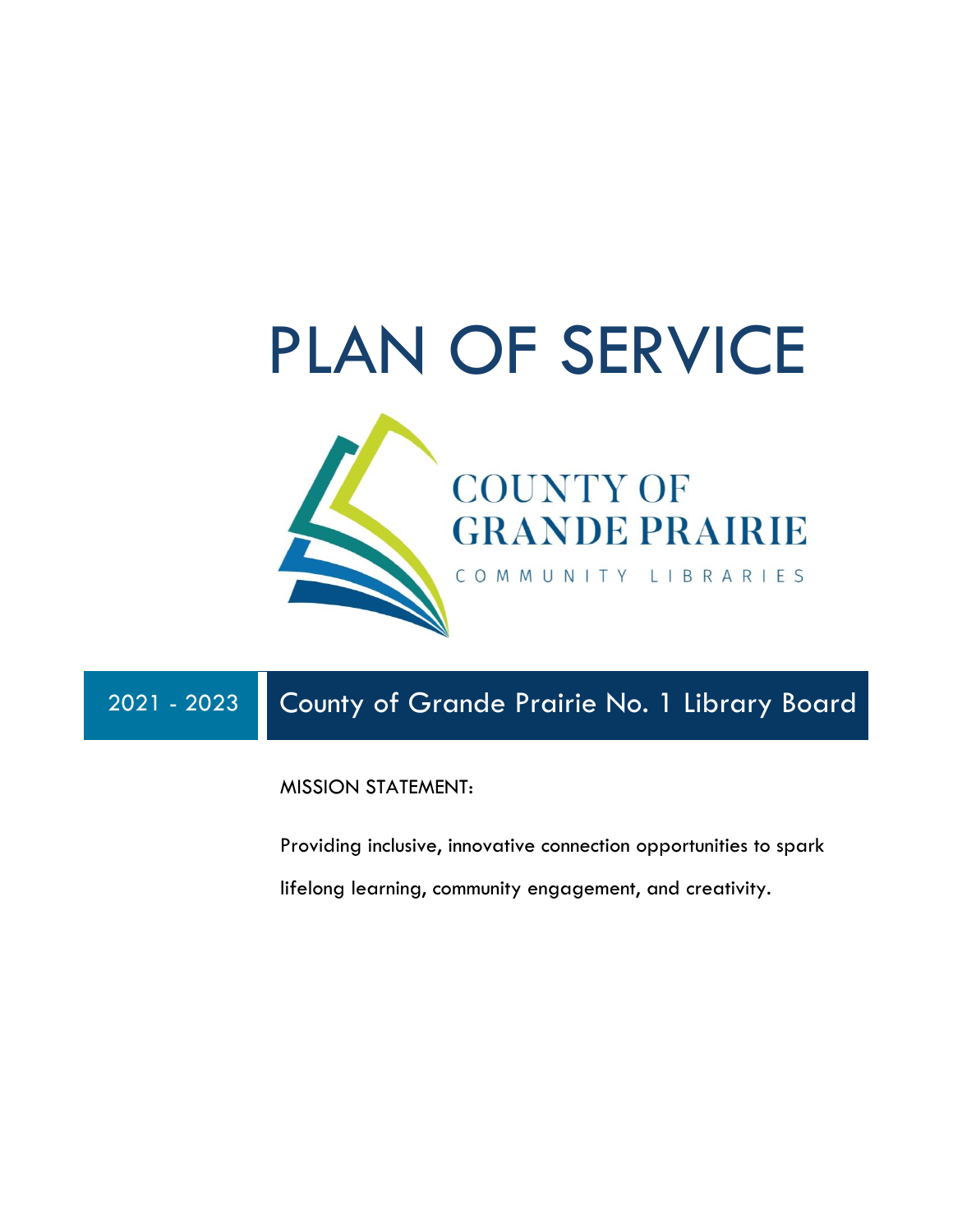

## 2021 - 2023 County of Grande Prairie No. 1 Library Board

MISSION STATEMENT:

Providing inclusive, innovative connection opportunities to spark lifelong learning, community engagement, and creativity.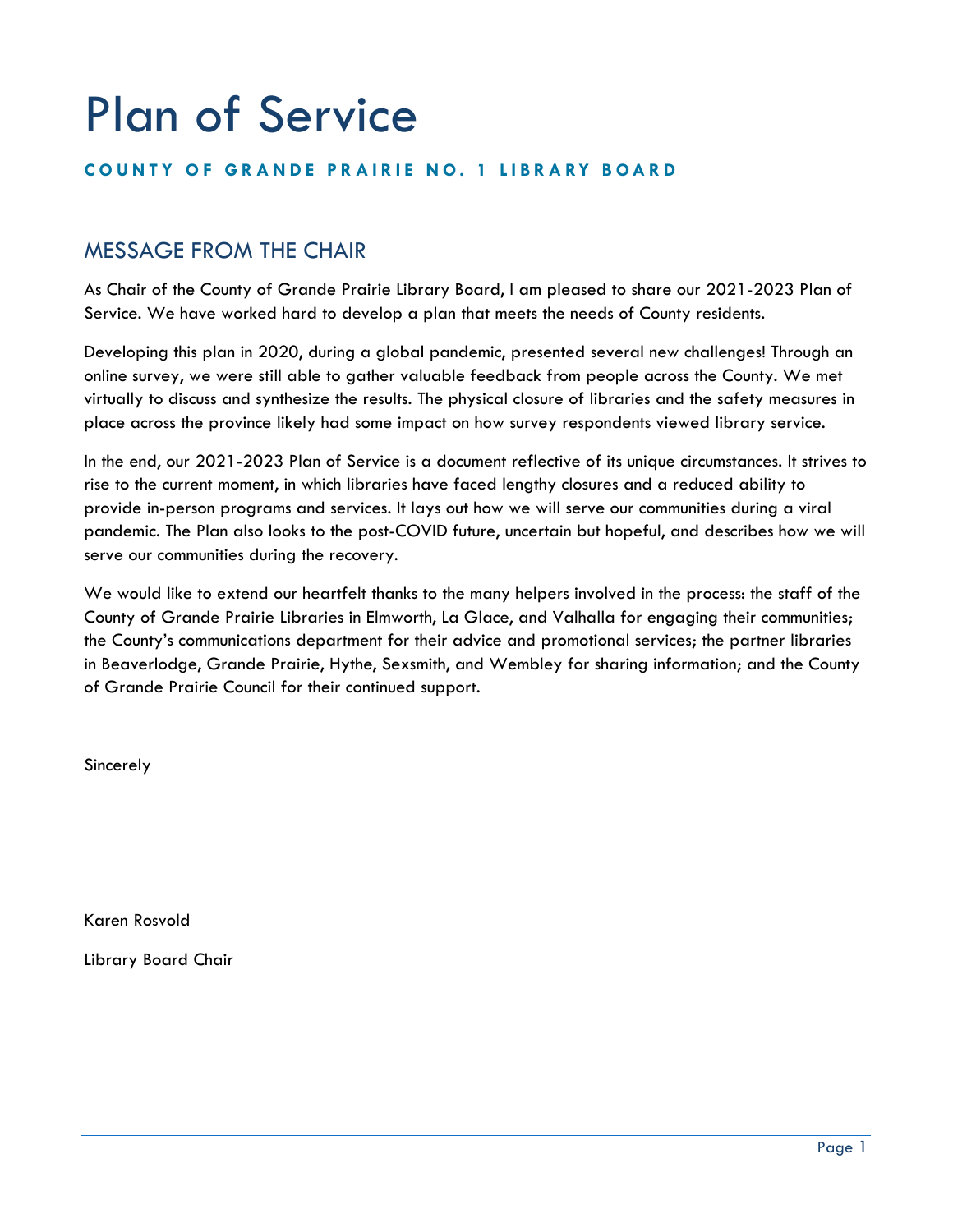# Plan of Service

#### **COUNTY OF GRANDE PRAIRIE NO. 1 LIBRARY BOARD**

## MESSAGE FROM THE CHAIR

As Chair of the County of Grande Prairie Library Board, I am pleased to share our 2021-2023 Plan of Service. We have worked hard to develop a plan that meets the needs of County residents.

Developing this plan in 2020, during a global pandemic, presented several new challenges! Through an online survey, we were still able to gather valuable feedback from people across the County. We met virtually to discuss and synthesize the results. The physical closure of libraries and the safety measures in place across the province likely had some impact on how survey respondents viewed library service.

In the end, our 2021-2023 Plan of Service is a document reflective of its unique circumstances. It strives to rise to the current moment, in which libraries have faced lengthy closures and a reduced ability to provide in-person programs and services. It lays out how we will serve our communities during a viral pandemic. The Plan also looks to the post-COVID future, uncertain but hopeful, and describes how we will serve our communities during the recovery.

We would like to extend our heartfelt thanks to the many helpers involved in the process: the staff of the County of Grande Prairie Libraries in Elmworth, La Glace, and Valhalla for engaging their communities; the County's communications department for their advice and promotional services; the partner libraries in Beaverlodge, Grande Prairie, Hythe, Sexsmith, and Wembley for sharing information; and the County of Grande Prairie Council for their continued support.

Sincerely

Karen Rosvold

Library Board Chair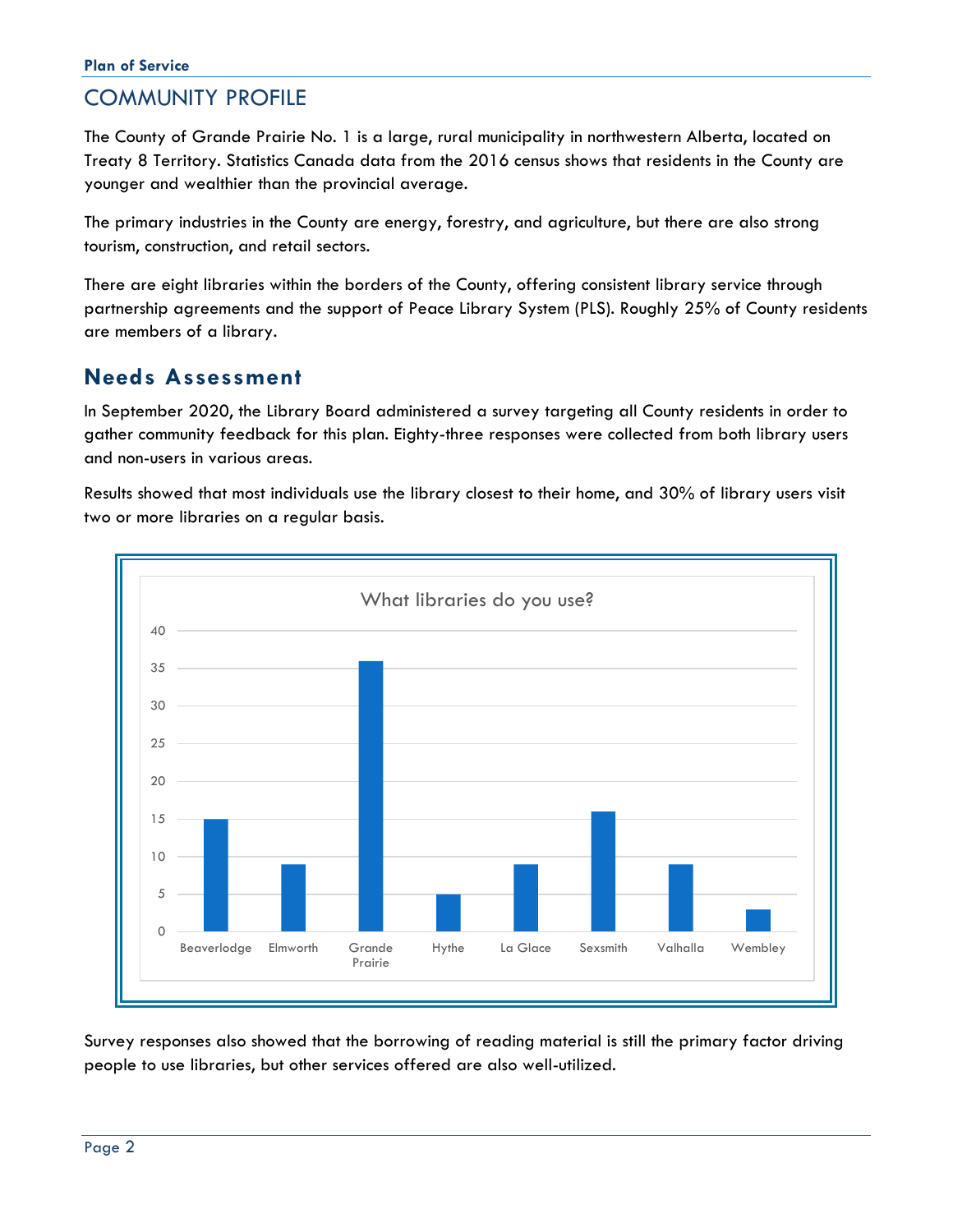## COMMUNITY PROFILE

The County of Grande Prairie No. 1 is a large, rural municipality in northwestern Alberta, located on Treaty 8 Territory. Statistics Canada data from the 2016 census shows that residents in the County are younger and wealthier than the provincial average.

The primary industries in the County are energy, forestry, and agriculture, but there are also strong tourism, construction, and retail sectors.

There are eight libraries within the borders of the County, offering consistent library service through partnership agreements and the support of Peace Library System (PLS). Roughly 25% of County residents are members of a library.

## **Needs Assessment**

In September 2020, the Library Board administered a survey targeting all County residents in order to gather community feedback for this plan. Eighty-three responses were collected from both library users and non-users in various areas.

Results showed that most individuals use the library closest to their home, and 30% of library users visit two or more libraries on a regular basis.



Survey responses also showed that the borrowing of reading material is still the primary factor driving people to use libraries, but other services offered are also well-utilized.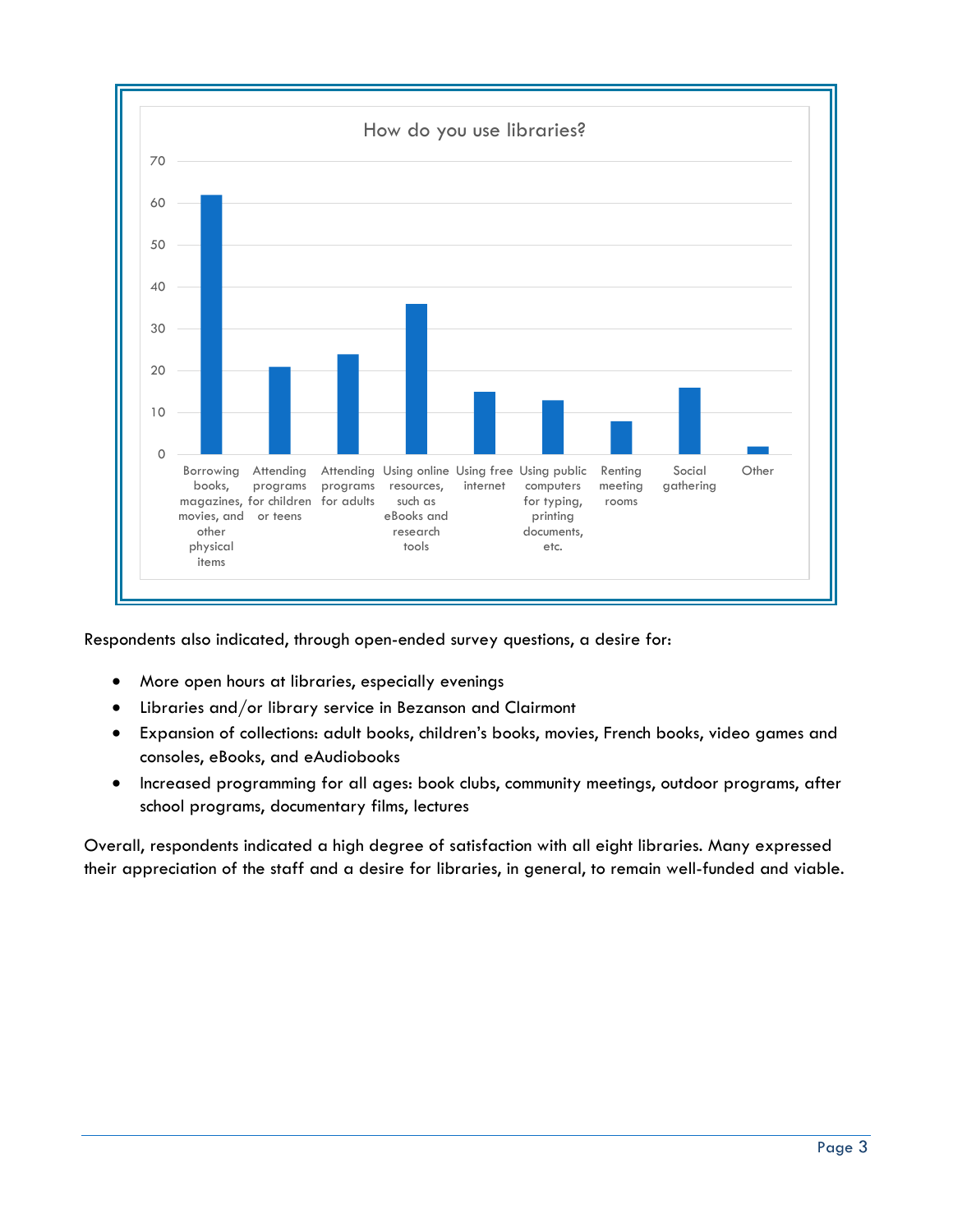

Respondents also indicated, through open-ended survey questions, a desire for:

- More open hours at libraries, especially evenings
- Libraries and/or library service in Bezanson and Clairmont
- Expansion of collections: adult books, children's books, movies, French books, video games and consoles, eBooks, and eAudiobooks
- Increased programming for all ages: book clubs, community meetings, outdoor programs, after school programs, documentary films, lectures

Overall, respondents indicated a high degree of satisfaction with all eight libraries. Many expressed their appreciation of the staff and a desire for libraries, in general, to remain well-funded and viable.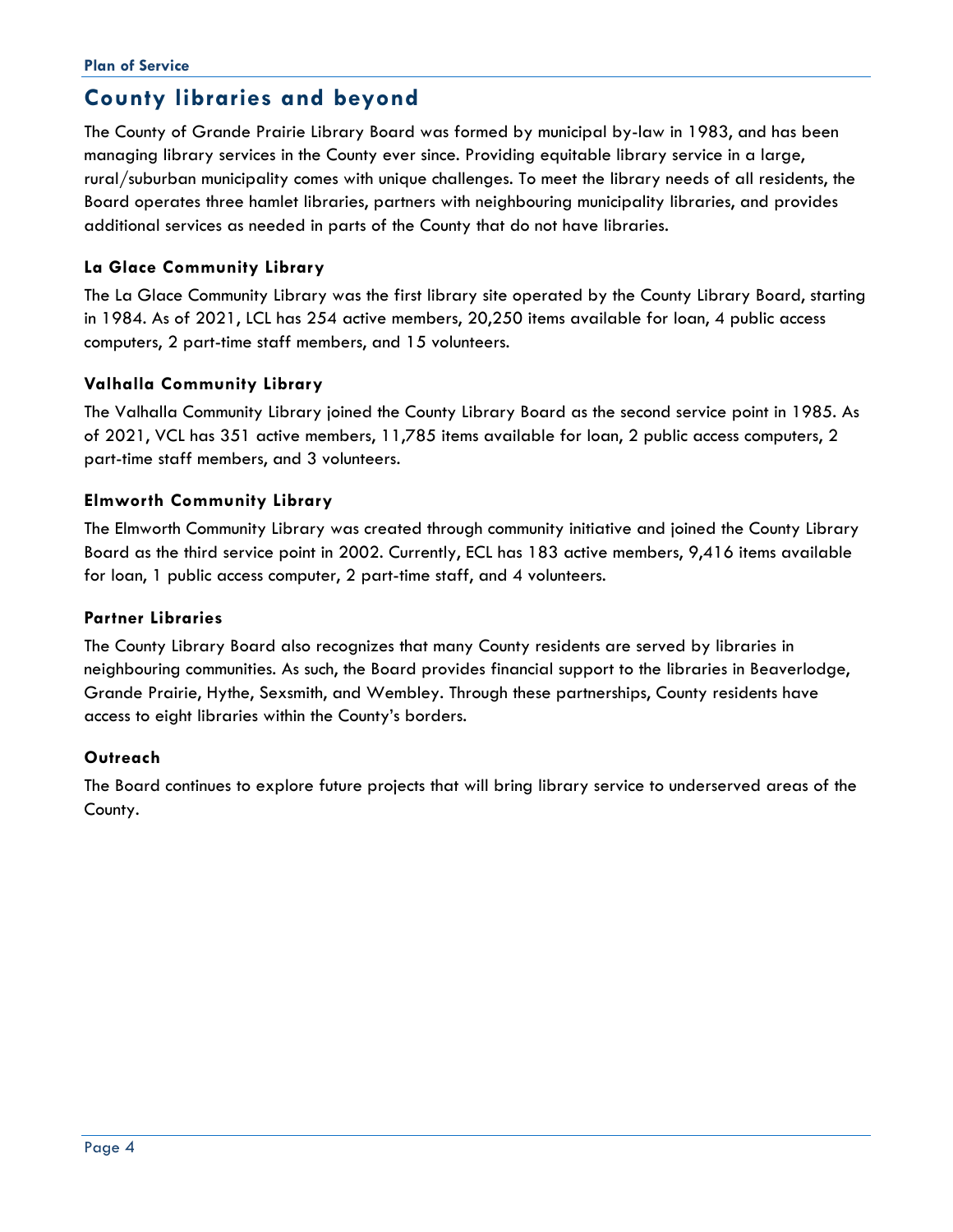## **County libraries and beyond**

The County of Grande Prairie Library Board was formed by municipal by-law in 1983, and has been managing library services in the County ever since. Providing equitable library service in a large, rural/suburban municipality comes with unique challenges. To meet the library needs of all residents, the Board operates three hamlet libraries, partners with neighbouring municipality libraries, and provides additional services as needed in parts of the County that do not have libraries.

#### **La Glace Community Library**

The La Glace Community Library was the first library site operated by the County Library Board, starting in 1984. As of 2021, LCL has 254 active members, 20,250 items available for loan, 4 public access computers, 2 part-time staff members, and 15 volunteers.

#### **Valhalla Community Library**

The Valhalla Community Library joined the County Library Board as the second service point in 1985. As of 2021, VCL has 351 active members, 11,785 items available for loan, 2 public access computers, 2 part-time staff members, and 3 volunteers.

#### **Elmworth Community Library**

The Elmworth Community Library was created through community initiative and joined the County Library Board as the third service point in 2002. Currently, ECL has 183 active members, 9,416 items available for loan, 1 public access computer, 2 part-time staff, and 4 volunteers.

#### **Partner Libraries**

The County Library Board also recognizes that many County residents are served by libraries in neighbouring communities. As such, the Board provides financial support to the libraries in Beaverlodge, Grande Prairie, Hythe, Sexsmith, and Wembley. Through these partnerships, County residents have access to eight libraries within the County's borders.

#### **Outreach**

The Board continues to explore future projects that will bring library service to underserved areas of the County.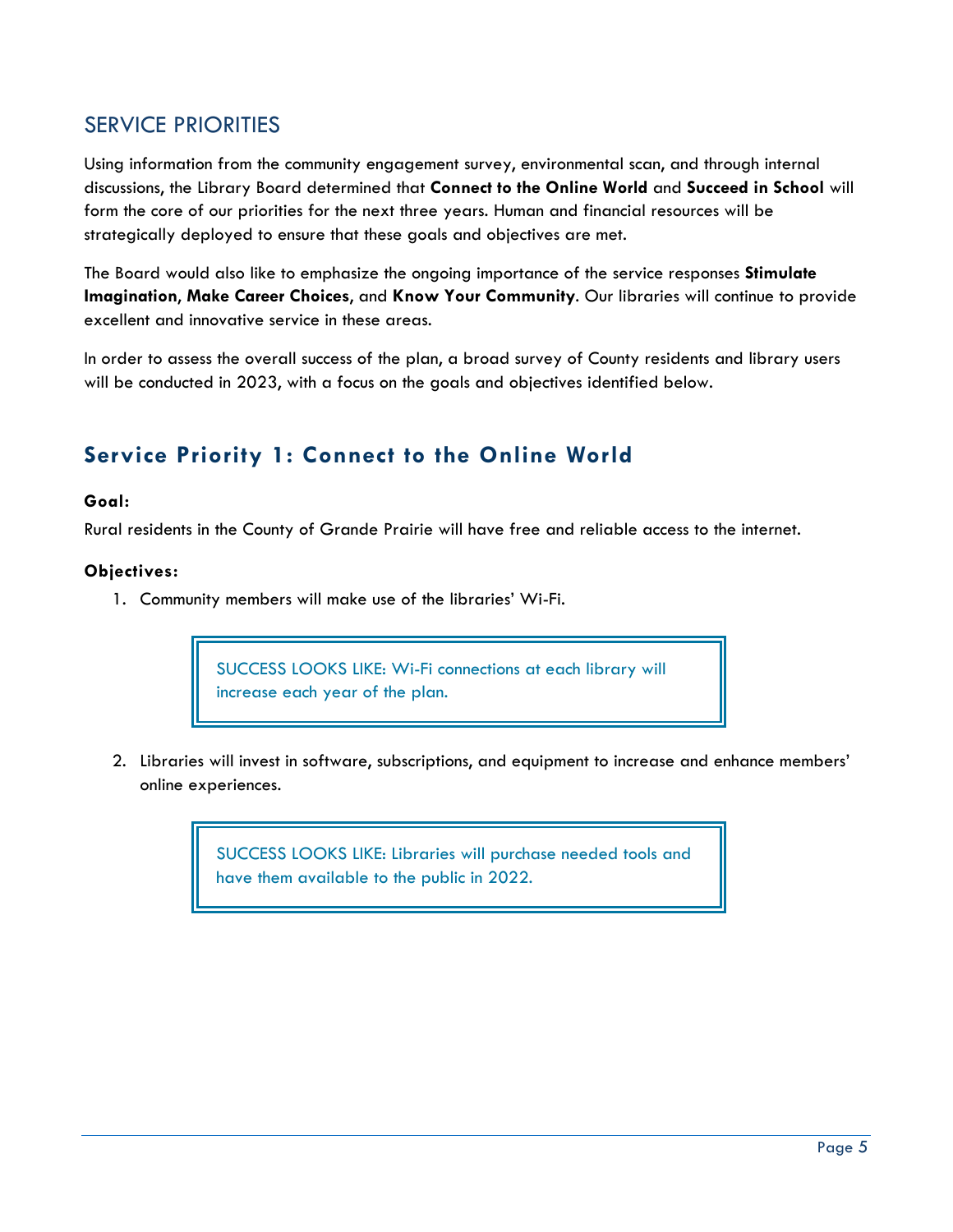### SERVICE PRIORITIES

Using information from the community engagement survey, environmental scan, and through internal discussions, the Library Board determined that **Connect to the Online World** and **Succeed in School** will form the core of our priorities for the next three years. Human and financial resources will be strategically deployed to ensure that these goals and objectives are met.

The Board would also like to emphasize the ongoing importance of the service responses **Stimulate Imagination**, **Make Career Choices**, and **Know Your Community**. Our libraries will continue to provide excellent and innovative service in these areas.

In order to assess the overall success of the plan, a broad survey of County residents and library users will be conducted in 2023, with a focus on the goals and objectives identified below.

## **Service Priority 1: Connect to the Online World**

#### **Goal:**

Rural residents in the County of Grande Prairie will have free and reliable access to the internet.

#### **Objectives:**

1. Community members will make use of the libraries' Wi-Fi.

SUCCESS LOOKS LIKE: Wi-Fi connections at each library will increase each year of the plan.

2. Libraries will invest in software, subscriptions, and equipment to increase and enhance members' online experiences.

> SUCCESS LOOKS LIKE: Libraries will purchase needed tools and have them available to the public in 2022.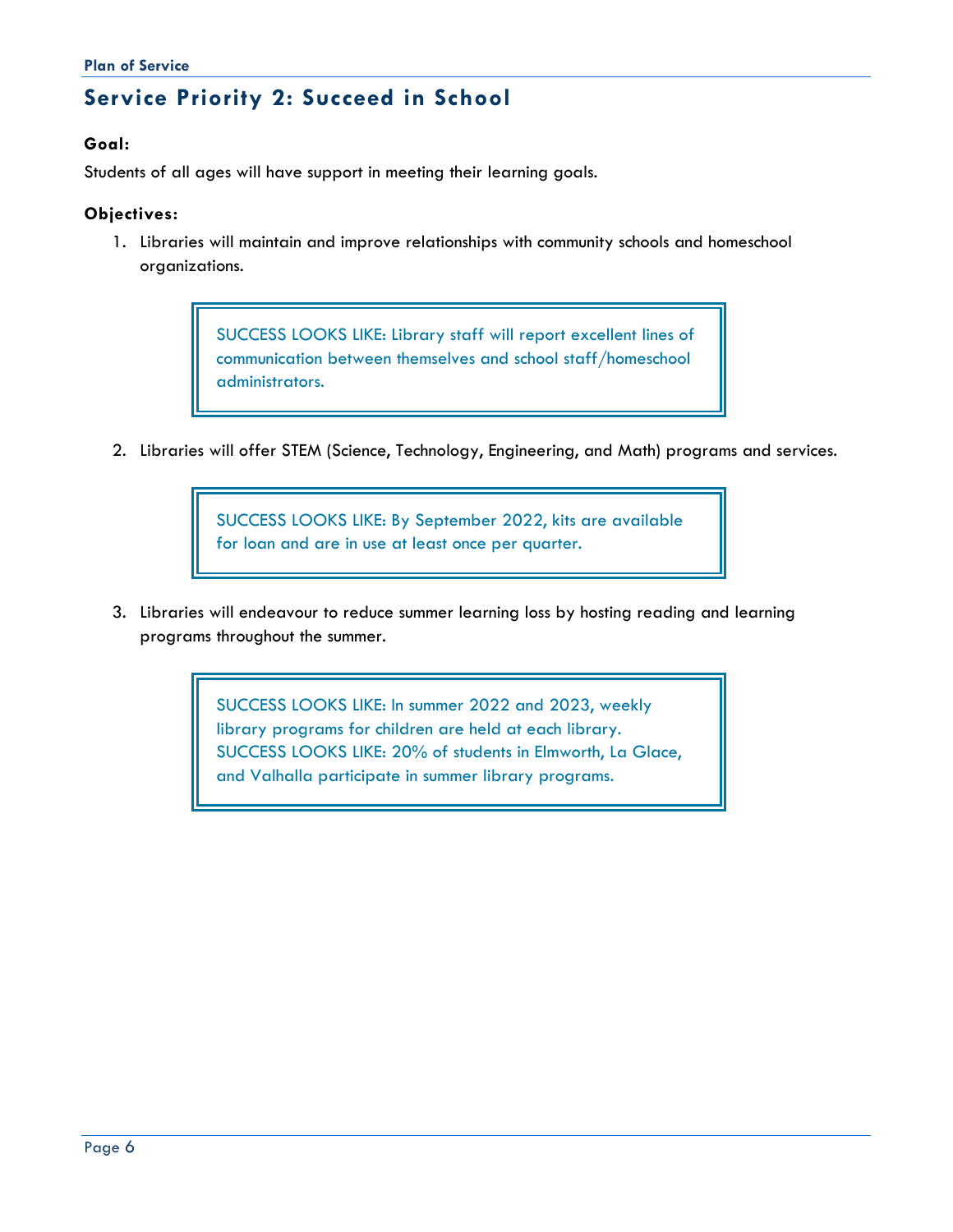## **Service Priority 2: Succeed in School**

#### **Goal:**

Students of all ages will have support in meeting their learning goals.

#### **Objectives:**

1. Libraries will maintain and improve relationships with community schools and homeschool organizations.

> SUCCESS LOOKS LIKE: Library staff will report excellent lines of communication between themselves and school staff/homeschool administrators.

2. Libraries will offer STEM (Science, Technology, Engineering, and Math) programs and services.

SUCCESS LOOKS LIKE: By September 2022, kits are available for loan and are in use at least once per quarter.

3. Libraries will endeavour to reduce summer learning loss by hosting reading and learning programs throughout the summer.

> SUCCESS LOOKS LIKE: In summer 2022 and 2023, weekly library programs for children are held at each library. SUCCESS LOOKS LIKE: 20% of students in Elmworth, La Glace, and Valhalla participate in summer library programs.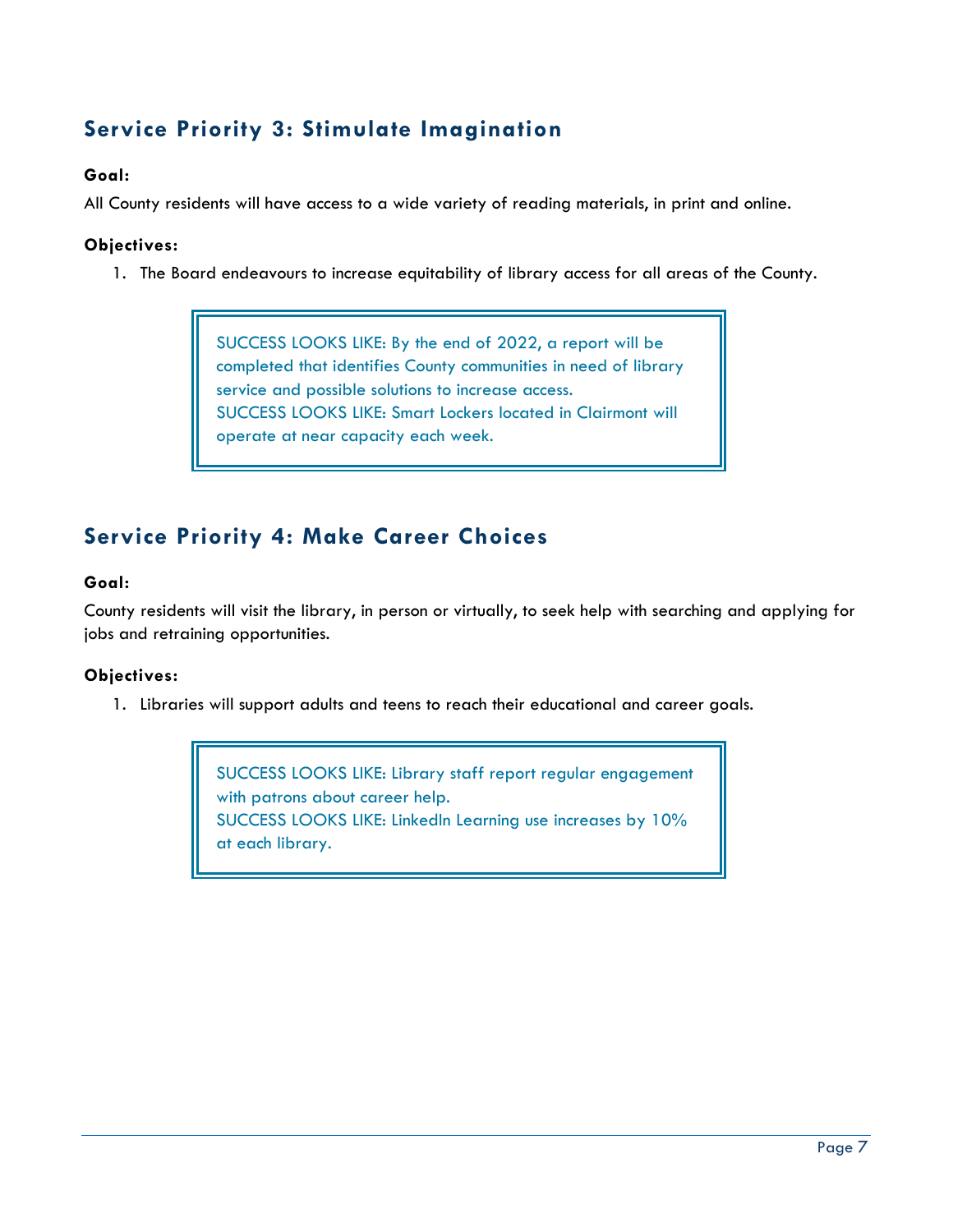## **Service Priority 3: Stimulate Imagination**

#### **Goal:**

All County residents will have access to a wide variety of reading materials, in print and online.

#### **Objectives:**

1. The Board endeavours to increase equitability of library access for all areas of the County.

SUCCESS LOOKS LIKE: By the end of 2022, a report will be completed that identifies County communities in need of library service and possible solutions to increase access. SUCCESS LOOKS LIKE: Smart Lockers located in Clairmont will operate at near capacity each week.

## **Service Priority 4: Make Career Choices**

#### **Goal:**

County residents will visit the library, in person or virtually, to seek help with searching and applying for jobs and retraining opportunities.

#### **Objectives:**

1. Libraries will support adults and teens to reach their educational and career goals.

SUCCESS LOOKS LIKE: Library staff report regular engagement with patrons about career help. SUCCESS LOOKS LIKE: LinkedIn Learning use increases by 10% at each library.